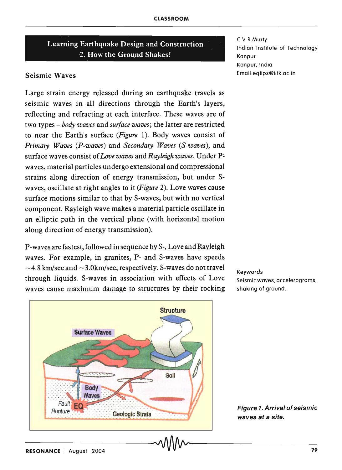# Learning Earthquake Design and Construction 2. How the Ground Shakes!

## Seismic Waves

Large strain energy released during an earthquake travels as seismic waves in all directions through the Earth's layers, reflecting and refracting at each interface. These waves are of two types - *body waves* and *surface waves;* the latter are restricted to near the Earth's surface *(Figure* 1). Body waves consist of *Primary Waves (P-waves)* and *Secondary Waves (S-waves),* and surface waves consist of *Love waves* and *Rayleigh waves*. Under Pwaves, material particles undergo extensional and compressional strains along direction of energy transmission, but under Swaves, oscillate at right angles to it *(Figure* 2). Love waves cause surface motions similar to that by S-waves, but with no vertical component. Rayleigh wave makes a material particle oscillate in an elliptic path in the vertical plane (with horizontal motion along direction of energy transmission).

P-waves are fastest, followed in sequence by S-, Love and Rayleigh waves. For example, in granites, P- and S-waves have speeds  $-4.8$  km/sec and  $-3.0$ km/sec, respectively. S-waves do not travel through liquids. S-waves in association with effects of Love waves cause maximum damage to structures by their rocking



C V R Murty Indian Institute of Technology Kanpur Kanpur, India Email:eqtips@iitk.ac.in

Keywords Seismic waves, accelerograms, shaking of ground.

Figure 1. Arrival of seismic

waves at a site.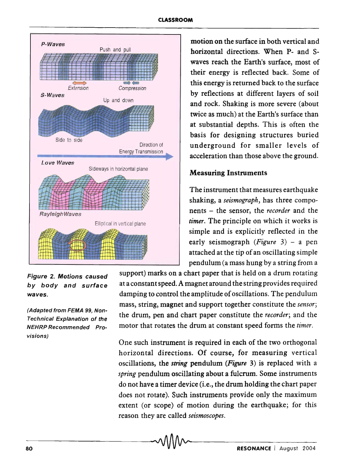

Figure 2. Motions caused by body and surface waves.

(Adapted from FEMA 99, Non-Technical Explanation of the NEHRP Recommended Provisions)

motion on the surface in both vertical and horizontal directions. When P- and Swaves reach the Earth's surface, most of their energy is reflected back. Some of this energy is returned back to the surface by reflections at different layers of soil and rock. Shaking is more severe (about twice as much) at the Earth's surface than at substantial depths. This is often the basis for designing structures buried underground for smaller levels of acceleration than those above the ground.

The instrument that measures earthquake shaking, a *seismograph,* has three components - the sensor, the *recorder* and the *timer.* The principle on which it works is simple and is explicitly reflected in the early seismograph *(Figure* 3) - a pen attached at the tip of an oscillating simple pendulum (a mass hung by a string from a

support) marks on a chart paper that is held on a drum rotating at a constant speed. A magnet around the string provides required damping to control the amplitude of oscillations. The pendulum mass, string, magnet and support together constitute the *sensor;*  the drum, pen and chart paper constitute the *recorder;* and the motor that rotates the drum at constant speed forms the *timer.* 

One such instrument is required in each of the two orthogonal horizontal directions. Of course, for measuring vertical oscillations, the *string* pendulum *(Figure* 3) is replaced with a *spring* pendulum oscillating about a fulcrum. Some instruments do not have a timer device (i.e., the drum holding the chart paper does not rotate). Such instruments provide only the maximum extent (or scope) of motion during the earthquake; for this reason they are called *seismoscopes.*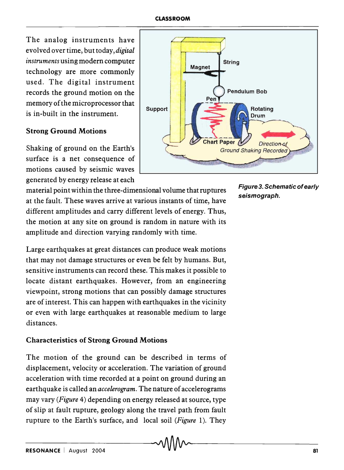### **CLASSROOM**

The analog instruments have evol ved over time, but today, *digital instruments* using modern computer technology are more commonly used. The digital instrument records the ground motion on the memory of the microprocessor that is in-built in the instrument.

## Strong Ground Motions

Shaking of ground on the Earth's surface is a net consequence of motions caused by seismic waves generated by energy release at each

material point within the three-dimensional volume that ruptures at the fault. These waves arrive at various instants of time, have different amplitudes and carry different levels of energy. Thus, the motion at any site on ground is random in nature with its amplitude and direction varying randomly with time.

Large earthquakes at great distances can produce weak motions that may not damage structures or even be felt by humans. But, sensitive instruments can record these. This makes it possible to locate distant earthquakes. However, from an engineering viewpoint, strong motions that can possibly damage structures are of interest. This can happen with earthquakes in the vicinity or even with large earthquakes at reasonable medium to large distances.

# Characteristics of Strong Ground Motions

The motion of the ground can be described in terms of displacement, velocity or acceleration. The variation of ground acceleration with time recorded at a point on ground during an earthquake is called an *accelerogram.* The nature of accelerograms may vary *(Figure* 4) depending on energy released at source, type of slip at fault rupture, geology along the travel path from fault rupture to the Earth's surface, and local soil *(Figure* 1). They



Figure 3. Schematic of early seismograph.